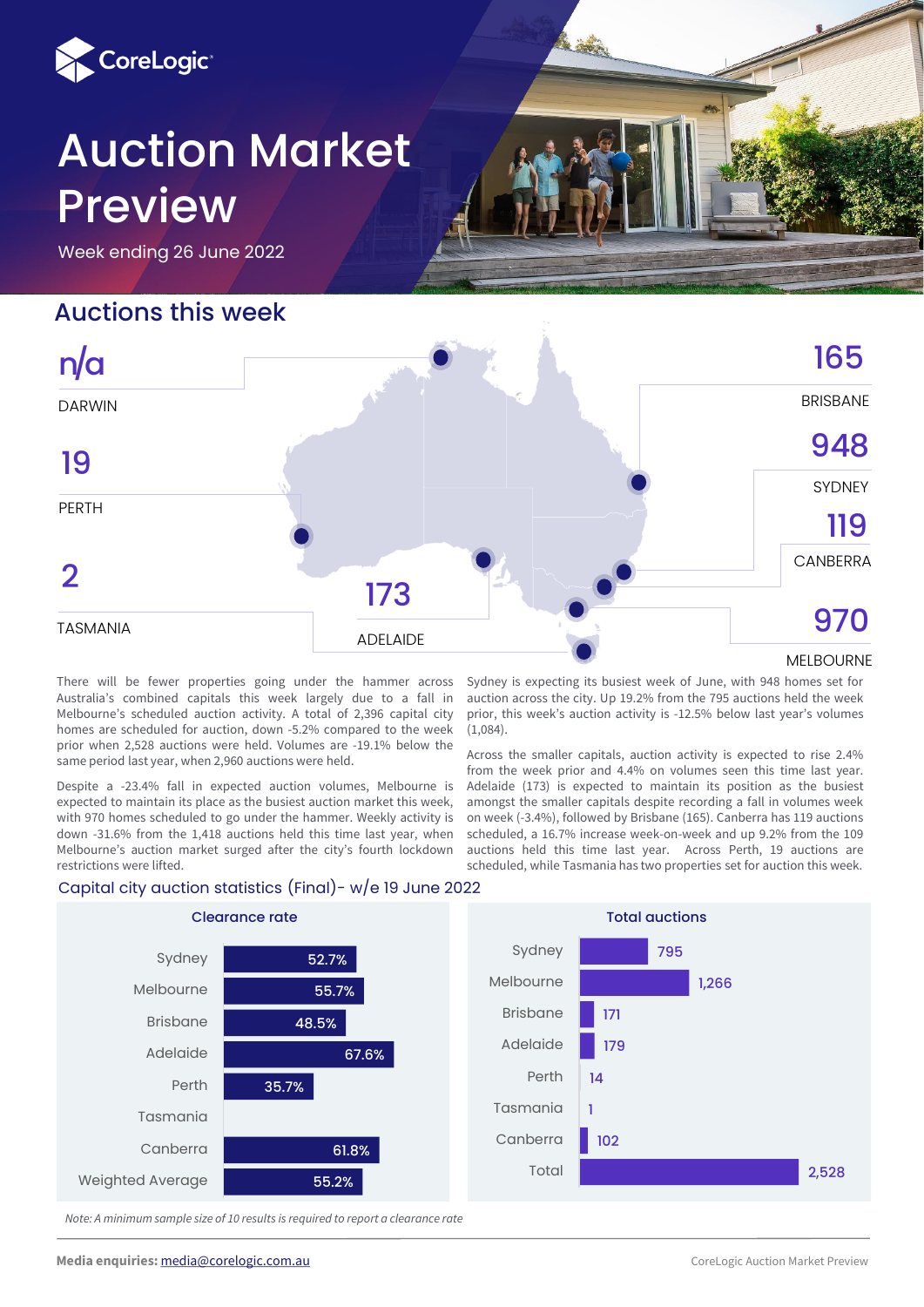

# Auction Market Preview

Week ending 26 June 2022

## Auctions this week

DARWIN

n/a



## **SYDNEY** ADELAIDE PERTH **CANBERRA** TASMANIA 948119 2<br>ASMANIA 173 **173** 970 19

MELBOURNE

There will be fewer properties going under the hammer across Australia's combined capitals this week largely due to a fall in Melbourne's scheduled auction activity. A total of 2,396 capital city homes are scheduled for auction, down -5.2% compared to the week prior when 2,528 auctions were held. Volumes are -19.1% below the same period last year, when 2,960 auctions were held.

Despite a -23.4% fall in expected auction volumes, Melbourne is expected to maintain its place as the busiest auction market this week, with 970 homes scheduled to go under the hammer. Weekly activity is down -31.6% from the 1,418 auctions held this time last year, when Melbourne's auction market surged after the city's fourth lockdown restrictions were lifted.

Sydney is expecting its busiest week of June, with 948 homes set for auction across the city. Up 19.2% from the 795 auctions held the week prior, this week's auction activity is -12.5% below last year's volumes (1,084).

Across the smaller capitals, auction activity is expected to rise 2.4% from the week prior and 4.4% on volumes seen this time last year. Adelaide (173) is expected to maintain its position as the busiest amongst the smaller capitals despite recording a fall in volumes week on week (-3.4%), followed by Brisbane (165). Canberra has 119 auctions scheduled, a 16.7% increase week-on-week and up 9.2% from the 109 auctions held this time last year. Across Perth, 19 auctions are scheduled, while Tasmania has two properties set for auction this week.





*Note: A minimum sample size of 10 results is required to report a clearance rate*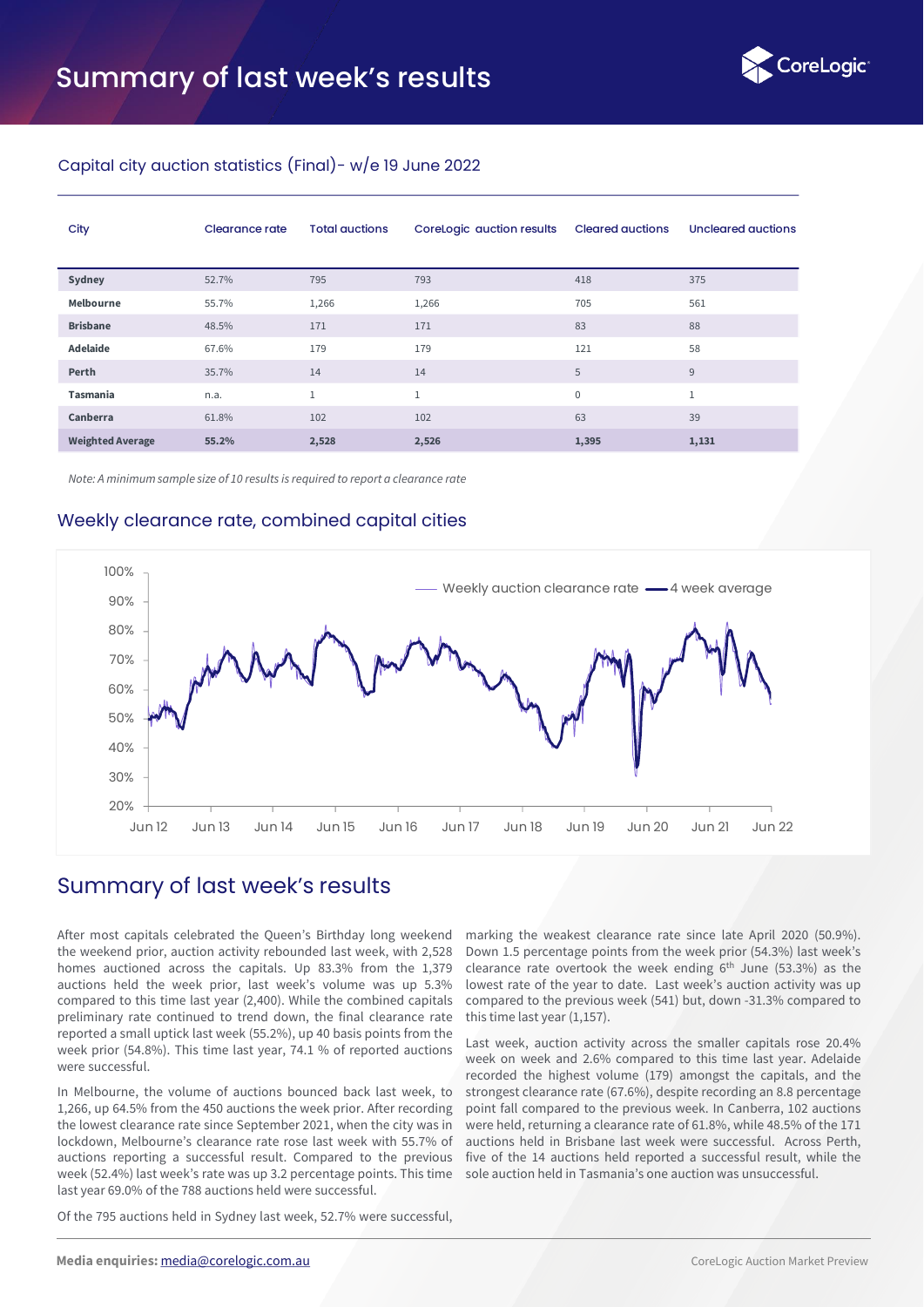

#### Capital city auction statistics (Final)- w/e 19 June 2022

| City                    | Clearance rate | <b>Total auctions</b> | CoreLogic auction results | <b>Cleared auctions</b> | Uncleared auctions |
|-------------------------|----------------|-----------------------|---------------------------|-------------------------|--------------------|
| Sydney                  | 52.7%          | 795                   | 793                       | 418                     | 375                |
| Melbourne               | 55.7%          | 1,266                 | 1,266                     | 705                     | 561                |
| <b>Brisbane</b>         | 48.5%          | 171                   | 171                       | 83                      | 88                 |
| <b>Adelaide</b>         | 67.6%          | 179                   | 179                       | 121                     | 58                 |
| Perth                   | 35.7%          | 14                    | 14                        | 5                       | 9                  |
| <b>Tasmania</b>         | n.a.           | $\mathbf{1}$          | $\mathbf{1}$              | $\boldsymbol{0}$        | $\mathbf{1}$       |
| Canberra                | 61.8%          | 102                   | 102                       | 63                      | 39                 |
| <b>Weighted Average</b> | 55.2%          | 2,528                 | 2,526                     | 1,395                   | 1,131              |

*Note: A minimum sample size of 10 results is required to report a clearance rate* 

#### Weekly clearance rate, combined capital cities



### Summary of last week's results

After most capitals celebrated the Queen's Birthday long weekend the weekend prior, auction activity rebounded last week, with 2,528 homes auctioned across the capitals. Up 83.3% from the 1,379 auctions held the week prior, last week's volume was up 5.3% compared to this time last year (2,400). While the combined capitals preliminary rate continued to trend down, the final clearance rate reported a small uptick last week (55.2%), up 40 basis points from the week prior (54.8%). This time last year, 74.1 % of reported auctions were successful.

In Melbourne, the volume of auctions bounced back last week, to 1,266, up 64.5% from the 450 auctions the week prior. After recording the lowest clearance rate since September 2021, when the city was in lockdown, Melbourne's clearance rate rose last week with 55.7% of auctions reporting a successful result. Compared to the previous week (52.4%) last week's rate was up 3.2 percentage points. This time last year 69.0% of the 788 auctions held were successful.

Of the 795 auctions held in Sydney last week, 52.7% were successful,

marking the weakest clearance rate since late April 2020 (50.9%). Down 1.5 percentage points from the week prior (54.3%) last week's clearance rate overtook the week ending  $6<sup>th</sup>$  June (53.3%) as the lowest rate of the year to date. Last week's auction activity was up compared to the previous week (541) but, down -31.3% compared to this time last year (1,157).

Last week, auction activity across the smaller capitals rose 20.4% week on week and 2.6% compared to this time last year. Adelaide recorded the highest volume (179) amongst the capitals, and the strongest clearance rate (67.6%), despite recording an 8.8 percentage point fall compared to the previous week. In Canberra, 102 auctions were held, returning a clearance rate of 61.8%, while 48.5% of the 171 auctions held in Brisbane last week were successful. Across Perth, five of the 14 auctions held reported a successful result, while the sole auction held in Tasmania's one auction was unsuccessful.